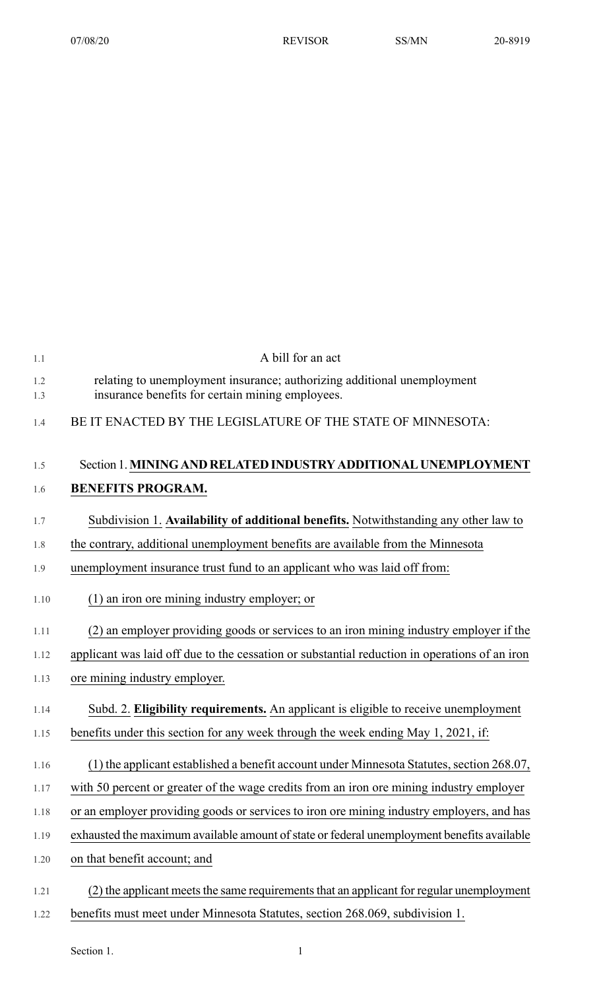| 1.1  | A bill for an act                                                                             |
|------|-----------------------------------------------------------------------------------------------|
| 1.2  | relating to unemployment insurance; authorizing additional unemployment                       |
| 1.3  | insurance benefits for certain mining employees.                                              |
| 1.4  | BE IT ENACTED BY THE LEGISLATURE OF THE STATE OF MINNESOTA:                                   |
|      |                                                                                               |
| 1.5  | Section 1. MINING AND RELATED INDUSTRY ADDITIONAL UNEMPLOYMENT                                |
| 1.6  | <b>BENEFITS PROGRAM.</b>                                                                      |
| 1.7  | Subdivision 1. Availability of additional benefits. Notwithstanding any other law to          |
| 1.8  | the contrary, additional unemployment benefits are available from the Minnesota               |
| 1.9  | unemployment insurance trust fund to an applicant who was laid off from:                      |
| 1.10 | (1) an iron ore mining industry employer; or                                                  |
| 1.11 | (2) an employer providing goods or services to an iron mining industry employer if the        |
| 1.12 | applicant was laid off due to the cessation or substantial reduction in operations of an iron |
| 1.13 | ore mining industry employer.                                                                 |
| 1.14 | Subd. 2. Eligibility requirements. An applicant is eligible to receive unemployment           |
| 1.15 | benefits under this section for any week through the week ending May 1, 2021, if:             |
| 1.16 | (1) the applicant established a benefit account under Minnesota Statutes, section 268.07,     |
| 1.17 | with 50 percent or greater of the wage credits from an iron ore mining industry employer      |
| 1.18 | or an employer providing goods or services to iron ore mining industry employers, and has     |
| 1.19 | exhausted the maximum available amount of state or federal unemployment benefits available    |
| 1.20 | on that benefit account; and                                                                  |
| 1.21 | (2) the applicant meets the same requirements that an applicant for regular unemployment      |
| 1.22 | benefits must meet under Minnesota Statutes, section 268.069, subdivision 1.                  |

Section 1.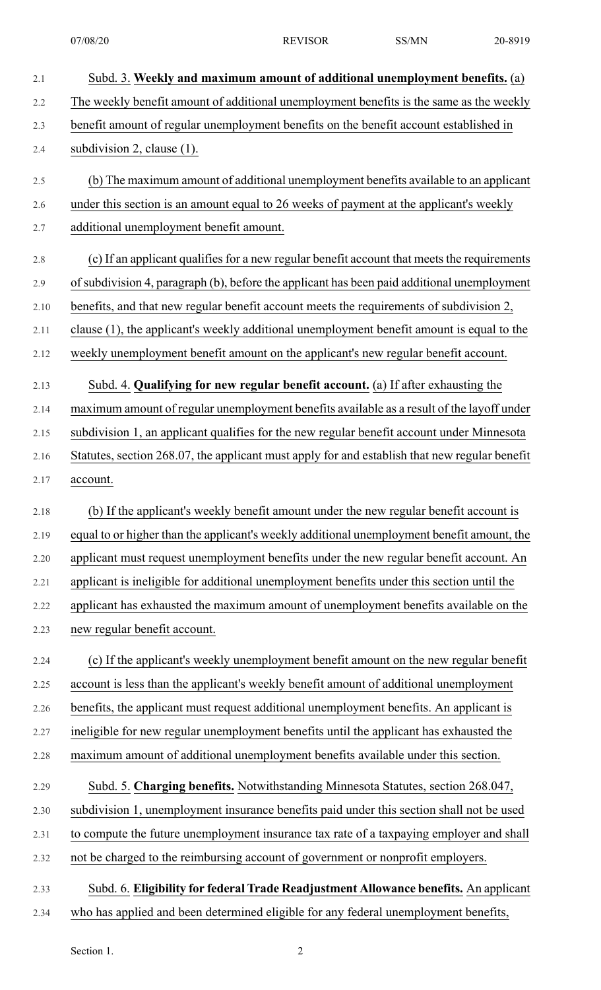2.1 Subd. 3. **Weekly and maximum amount of additional unemployment benefits.** (a) 2.2 The weekly benefit amount of additional unemployment benefits is the same as the weekly 2.3 benefit amount of regular unemployment benefits on the benefit account established in 2.4 subdivision 2, clause (1). 2.5 (b) The maximum amount of additional unemployment benefits available to an applicant 2.6 under this section is an amount equal to 26 weeks of payment at the applicant's weekly 2.7 additional unemployment benefit amount. 2.8 (c) If an applicant qualifies for a new regular benefit account that meets the requirements 2.9 ofsubdivision 4, paragraph (b), before the applicant has been paid additional unemployment 2.10 benefits, and that new regular benefit account meets the requirements of subdivision 2, 2.11 clause (1), the applicant's weekly additional unemployment benefit amount is equal to the 2.12 weekly unemployment benefit amount on the applicant's new regular benefit account. 2.13 Subd. 4. **Qualifying for new regular benefit account.** (a) If after exhausting the 2.14 maximum amount of regular unemployment benefits available as a result of the layoff under 2.15 subdivision 1, an applicant qualifies for the new regular benefit account under Minnesota 2.16 Statutes, section 268.07, the applicant must apply for and establish that new regular benefit 2.17 account. 2.18 (b) If the applicant's weekly benefit amount under the new regular benefit account is 2.19 equal to or higher than the applicant's weekly additional unemployment benefit amount, the 2.20 applicant must request unemployment benefits under the new regular benefit account. An 2.21 applicant is ineligible for additional unemployment benefits under this section until the 2.22 applicant has exhausted the maximum amount of unemployment benefits available on the 2.23 new regular benefit account. 2.24 (c) If the applicant's weekly unemployment benefit amount on the new regular benefit 2.25 account is less than the applicant's weekly benefit amount of additional unemployment 2.26 benefits, the applicant must request additional unemployment benefits. An applicant is 2.27 ineligible for new regular unemployment benefits until the applicant has exhausted the 2.28 maximum amount of additional unemployment benefits available under this section. 2.29 Subd. 5. **Charging benefits.** Notwithstanding Minnesota Statutes, section 268.047, 2.30 subdivision 1, unemployment insurance benefits paid under this section shall not be used 2.31 to compute the future unemployment insurance tax rate of a taxpaying employer and shall 2.32 not be charged to the reimbursing account of government or nonprofit employers. 2.33 Subd. 6. **Eligibility for federal Trade Readjustment Allowance benefits.** An applicant 2.34 who has applied and been determined eligible for any federal unemployment benefits,